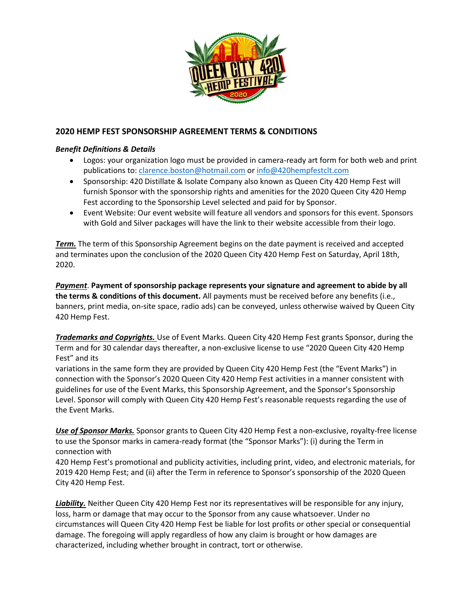

## **2020 HEMP FEST SPONSORSHIP AGREEMENT TERMS & CONDITIONS**

## *Benefit Definitions & Details*

- Logos: your organization logo must be provided in camera-ready art form for both web and print publications to: [clarence.boston@hotmail.com](mailto:clarence.boston@hotmail.com) or [info@420hempfestclt.com](mailto:info@420hempfestclt.com)
- Sponsorship: 420 Distillate & Isolate Company also known as Queen City 420 Hemp Fest will furnish Sponsor with the sponsorship rights and amenities for the 2020 Queen City 420 Hemp Fest according to the Sponsorship Level selected and paid for by Sponsor.
- Event Website: Our event website will feature all vendors and sponsors for this event. Sponsors with Gold and Silver packages will have the link to their website accessible from their logo.

*Term.* The term of this Sponsorship Agreement begins on the date payment is received and accepted and terminates upon the conclusion of the 2020 Queen City 420 Hemp Fest on Saturday, April 18th, 2020.

*Payment*. **Payment of sponsorship package represents your signature and agreement to abide by all the terms & conditions of this document.** All payments must be received before any benefits (i.e., banners, print media, on-site space, radio ads) can be conveyed, unless otherwise waived by Queen City 420 Hemp Fest.

*Trademarks and Copyrights.* Use of Event Marks. Queen City 420 Hemp Fest grants Sponsor, during the Term and for 30 calendar days thereafter, a non-exclusive license to use "2020 Queen City 420 Hemp Fest" and its

variations in the same form they are provided by Queen City 420 Hemp Fest (the "Event Marks") in connection with the Sponsor's 2020 Queen City 420 Hemp Fest activities in a manner consistent with guidelines for use of the Event Marks, this Sponsorship Agreement, and the Sponsor's Sponsorship Level. Sponsor will comply with Queen City 420 Hemp Fest's reasonable requests regarding the use of the Event Marks.

*Use of Sponsor Marks.* Sponsor grants to Queen City 420 Hemp Fest a non-exclusive, royalty-free license to use the Sponsor marks in camera-ready format (the "Sponsor Marks"): (i) during the Term in connection with

420 Hemp Fest's promotional and publicity activities, including print, video, and electronic materials, for 2019 420 Hemp Fest; and (ii) after the Term in reference to Sponsor's sponsorship of the 2020 Queen City 420 Hemp Fest.

*Liability.* Neither Queen City 420 Hemp Fest nor its representatives will be responsible for any injury, loss, harm or damage that may occur to the Sponsor from any cause whatsoever. Under no circumstances will Queen City 420 Hemp Fest be liable for lost profits or other special or consequential damage. The foregoing will apply regardless of how any claim is brought or how damages are characterized, including whether brought in contract, tort or otherwise.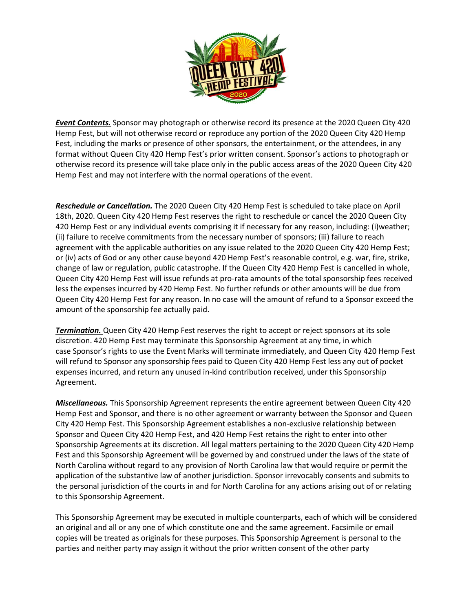

*Event Contents.* Sponsor may photograph or otherwise record its presence at the 2020 Queen City 420 Hemp Fest, but will not otherwise record or reproduce any portion of the 2020 Queen City 420 Hemp Fest, including the marks or presence of other sponsors, the entertainment, or the attendees, in any format without Queen City 420 Hemp Fest's prior written consent. Sponsor's actions to photograph or otherwise record its presence will take place only in the public access areas of the 2020 Queen City 420 Hemp Fest and may not interfere with the normal operations of the event.

*Reschedule or Cancellation.* The 2020 Queen City 420 Hemp Fest is scheduled to take place on April 18th, 2020. Queen City 420 Hemp Fest reserves the right to reschedule or cancel the 2020 Queen City 420 Hemp Fest or any individual events comprising it if necessary for any reason, including: (i)weather; (ii) failure to receive commitments from the necessary number of sponsors; (iii) failure to reach agreement with the applicable authorities on any issue related to the 2020 Queen City 420 Hemp Fest; or (iv) acts of God or any other cause beyond 420 Hemp Fest's reasonable control, e.g. war, fire, strike, change of law or regulation, public catastrophe. If the Queen City 420 Hemp Fest is cancelled in whole, Queen City 420 Hemp Fest will issue refunds at pro-rata amounts of the total sponsorship fees received less the expenses incurred by 420 Hemp Fest. No further refunds or other amounts will be due from Queen City 420 Hemp Fest for any reason. In no case will the amount of refund to a Sponsor exceed the amount of the sponsorship fee actually paid.

*Termination.* Queen City 420 Hemp Fest reserves the right to accept or reject sponsors at its sole discretion. 420 Hemp Fest may terminate this Sponsorship Agreement at any time, in which case Sponsor's rights to use the Event Marks will terminate immediately, and Queen City 420 Hemp Fest will refund to Sponsor any sponsorship fees paid to Queen City 420 Hemp Fest less any out of pocket expenses incurred, and return any unused in-kind contribution received, under this Sponsorship Agreement.

*Miscellaneous.* This Sponsorship Agreement represents the entire agreement between Queen City 420 Hemp Fest and Sponsor, and there is no other agreement or warranty between the Sponsor and Queen City 420 Hemp Fest. This Sponsorship Agreement establishes a non-exclusive relationship between Sponsor and Queen City 420 Hemp Fest, and 420 Hemp Fest retains the right to enter into other Sponsorship Agreements at its discretion. All legal matters pertaining to the 2020 Queen City 420 Hemp Fest and this Sponsorship Agreement will be governed by and construed under the laws of the state of North Carolina without regard to any provision of North Carolina law that would require or permit the application of the substantive law of another jurisdiction. Sponsor irrevocably consents and submits to the personal jurisdiction of the courts in and for North Carolina for any actions arising out of or relating to this Sponsorship Agreement.

This Sponsorship Agreement may be executed in multiple counterparts, each of which will be considered an original and all or any one of which constitute one and the same agreement. Facsimile or email copies will be treated as originals for these purposes. This Sponsorship Agreement is personal to the parties and neither party may assign it without the prior written consent of the other party